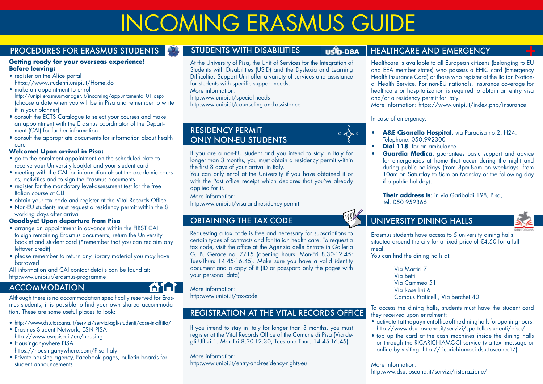# INCOMING ERASMUS GUIDE

#### PROCEDURES FOR ERASMUS STUDENTS

#### **Getting ready for your overseas experience! Before leaving:**

- register on the Alice portal https://www.studenti.unipi.it/Home.do
- make an appointment to enrol http://unipi.erasmusmanager.it/incoming/appuntamento\_01.aspx (choose a date when you will be in Pisa and remember to write it in your planner)
- consult the ECTS Catalogue to select your courses and make an appointment with the Erasmus coordinator of the Department (CAI) for further information
- consult the appropriate documents for information about health care

#### **Welcome! Upon arrival in Pisa:**

- go to the enrolment appointment on the scheduled date to receive your University booklet and your student card
- meeting with the CAI for information about the academic courses, activities and to sign the Erasmus documents
- register for the mandatory level-assessment test for the free Italian course at CLI
- obtain your tax code and register at the Vital Records Office
- Non-EU students must request a residency permit within the 8 working days after arrival

#### **Goodbye! Upon departure from Pisa**

- arrange an appointment in advance within the FIRST CAI to sign remaining Erasmus documents, return the University booklet and student card (\*remember that you can reclaim any leftover credit)
- please remember to return any library material you may have borrowed

All information and CAI contact details can be found at: http:www.unipi.it/erasmus-programme

#### **ACCOMMODATION**

Although there is no accommodation specifically reserved for Erasmus students, it is possible to find your own shared accommodation. These are some useful places to look:

- http://www.dsu.toscana.it/servizi/servizi-agli-studenti/case-in-affitto/
- Erasmus Student Network, ESN PISA http://www.esnpisa.it/en/housing
- Housinganywhere PISA
- https://housinganywhere.com/Pisa-Italy
- Private housing agency, Facebook pages, bulletin boards for student announcements

#### STUDENTS WITH DISABILITIES **USID-DSA**

 $0 \nless \rightarrow E$ S

N

At the University of Pisa, the Unit of Services for the Integration of Students with Disabilities (USID) and the Dyslexia and Learning Difficulties Support Unit offer a variety of services and assistance for students with specific support needs.

More information:

http:www.unipi.it/special-needs

http:www.unipi.it/counseling-and-assistance

#### RESIDENCY PERMIT ONLY NON-EU STUDENTS

If you are a non-EU student and you intend to stay in Italy for longer than 3 months, you must obtain a residency permit within the first 8 days of your arrival in Italy.

You can only enrol at the University if you have obtained it or with the Post office receipt which declares that you've already applied for it.

More information:

http:www.unipi.it/visa-and-residency-permit

#### OBTAINING THE TAX CODE

Requesting a tax code is free and necessary for subscriptions to certain types of contracts and for Italian health care. To request a tax code, visit the office at the Agenzia delle Entrate in Galleria G. B. Gerace no. 7/15 (opening hours: Mon-Fri 8.30-12.45; Tues-Thurs 14.45-16.45). Make sure you have a valid identity document and a copy of it (ID or passport: only the pages with your personal data)

More information:

ALI L

http:www.unipi.it/tax-code

#### REGISTRATION AT THE VITAL RECORDS OFFICE

If you intend to stay in Italy for longer than 3 months, you must register at the Vital Records Office of the Comune di Pisa (Via degli Uffizi 1. Mon-Fri 8.30-12.30; Tues and Thurs 14.45-16.45).

#### More information: http:www.unipi.it/entry-and-residency-rights-eu

#### HEALTHCARE AND EMERGENCY

Healthcare is available to all European citizens (belonging to EU and EEA member states) who possess a EHIC card (Emergency Health Insurance Card) or those who register at the Italian National Health Service. For non-EU nationals, insurance coverage for healthcare or hospitalization is required to obtain an entry visa and/or a residency permit for Italy.

More information: https://www.unipi.it/index.php/insurance

#### In case of emergency:

- **• A&E Cisanello Hospital,** via Paradisa no.2, H24. Telephone: 050.992300
- **• Dial 118** for an ambulance
- **Guardia Medica:** guarantees basic support and advice for emergencies at home that occur during the night and during public holidays (from 8pm-8am on weekdays, from 10am on Saturday to 8am on Monday or the following day if a public holiday).

 **Their address is**: in via Garibaldi 198, Pisa, tel. 050 959866

#### UNIVERSITY DINING HALLS

Erasmus students have access to 5 university dining halls situated around the city for a fixed price of  $\epsilon$ 4.50 for a full meal.

You can find the dining halls at:

Via Martiri 7 Via Betti Via Cammeo 51 Via Rosellini 6 Campus Praticelli, Via Berchet 40

To access the dining halls, students must have the student card they received upon enrolment:

- activate it at the payment office of the dining halls for opening hours: http://www.dsu.toscana.it/servizi/sportello-studenti/pisa/
- top up the card at the cash machines inside the dining halls or through the RICARICHIAMOCI service (via text message or online by visiting: http://ricarichiamoci.dsu.toscana.it/)

More information: http:www.dsu.toscana.it/servizi/ristorazione/